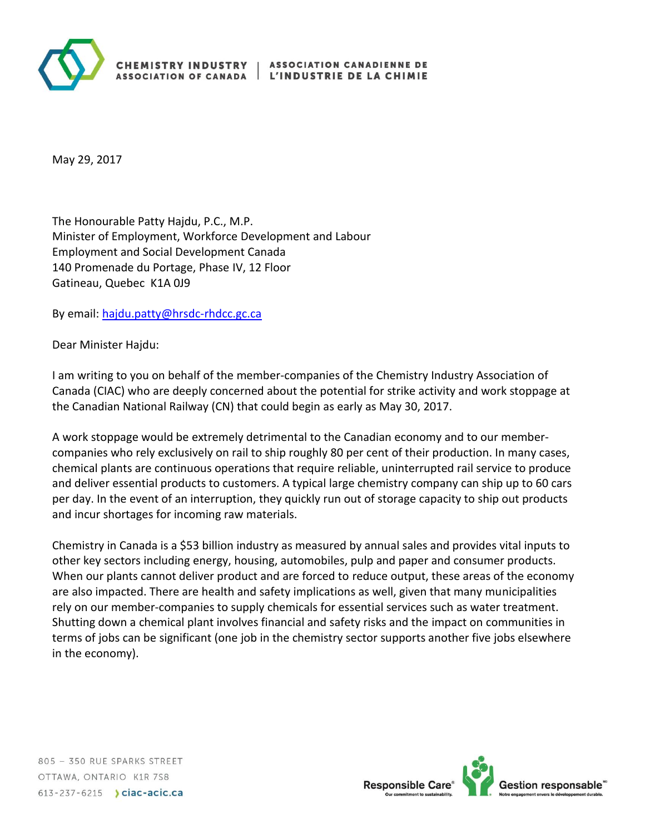

May 29, 2017

The Honourable Patty Hajdu, P.C., M.P. Minister of Employment, Workforce Development and Labour Employment and Social Development Canada 140 Promenade du Portage, Phase IV, 12 Floor Gatineau, Quebec K1A 0J9

By email: [hajdu.patty@hrsdc-rhdcc.gc.ca](mailto:hajdu.patty@hrsdc-rhdcc.gc.ca)

Dear Minister Hajdu:

I am writing to you on behalf of the member-companies of the Chemistry Industry Association of Canada (CIAC) who are deeply concerned about the potential for strike activity and work stoppage at the Canadian National Railway (CN) that could begin as early as May 30, 2017.

A work stoppage would be extremely detrimental to the Canadian economy and to our membercompanies who rely exclusively on rail to ship roughly 80 per cent of their production. In many cases, chemical plants are continuous operations that require reliable, uninterrupted rail service to produce and deliver essential products to customers. A typical large chemistry company can ship up to 60 cars per day. In the event of an interruption, they quickly run out of storage capacity to ship out products and incur shortages for incoming raw materials.

Chemistry in Canada is a \$53 billion industry as measured by annual sales and provides vital inputs to other key sectors including energy, housing, automobiles, pulp and paper and consumer products. When our plants cannot deliver product and are forced to reduce output, these areas of the economy are also impacted. There are health and safety implications as well, given that many municipalities rely on our member-companies to supply chemicals for essential services such as water treatment. Shutting down a chemical plant involves financial and safety risks and the impact on communities in terms of jobs can be significant (one job in the chemistry sector supports another five jobs elsewhere in the economy).

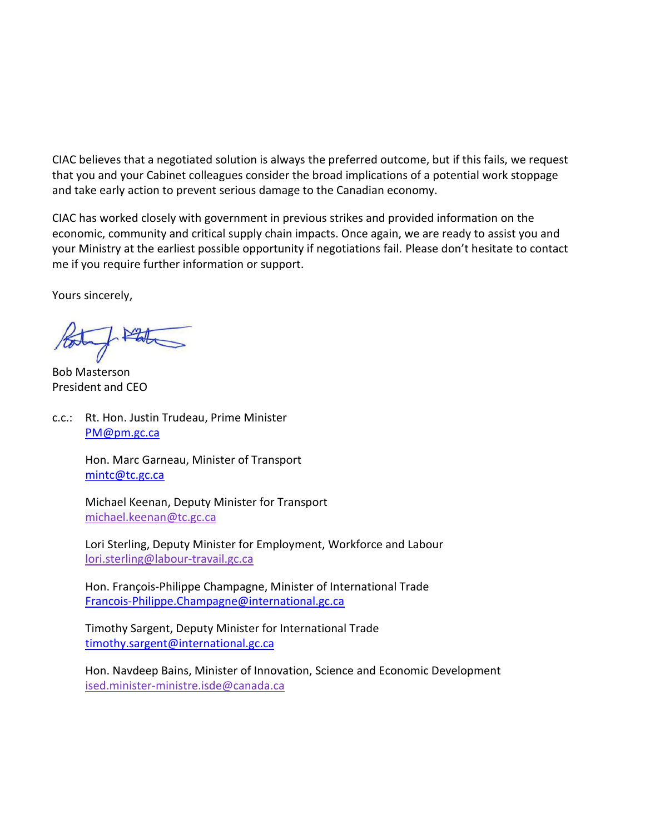CIAC believes that a negotiated solution is always the preferred outcome, but if this fails, we request that you and your Cabinet colleagues consider the broad implications of a potential work stoppage and take early action to prevent serious damage to the Canadian economy.

CIAC has worked closely with government in previous strikes and provided information on the economic, community and critical supply chain impacts. Once again, we are ready to assist you and your Ministry at the earliest possible opportunity if negotiations fail. Please don't hesitate to contact me if you require further information or support.

Yours sincerely,

Bob Masterson President and CEO

c.c.: Rt. Hon. Justin Trudeau, Prime Minister [PM@pm.gc.ca](mailto:PM@pm.gc.ca)

> Hon. Marc Garneau, Minister of Transport [mintc@tc.gc.ca](mailto:mintc@tc.gc.ca)

Michael Keenan, Deputy Minister for Transport [michael.keenan@tc.gc.ca](mailto:michael.keenan@tc.gc.ca)

Lori Sterling, Deputy Minister for Employment, Workforce and Labour [lori.sterling@labour-travail.gc.ca](mailto:lori.sterling@labour-travail.gc.ca)

Hon. François-Philippe Champagne, Minister of International Trade [Francois-Philippe.Champagne@international.gc.ca](mailto:Francois-Philippe.Champagne@international.gc.ca)

Timothy Sargent, Deputy Minister for International Trade [timothy.sargent@international.gc.ca](mailto:timothy.sargent@international.gc.ca)

Hon. Navdeep Bains, Minister of Innovation, Science and Economic Development [ised.minister-ministre.isde@canada.ca](mailto:ised.minister-ministre.isde@canada.ca)